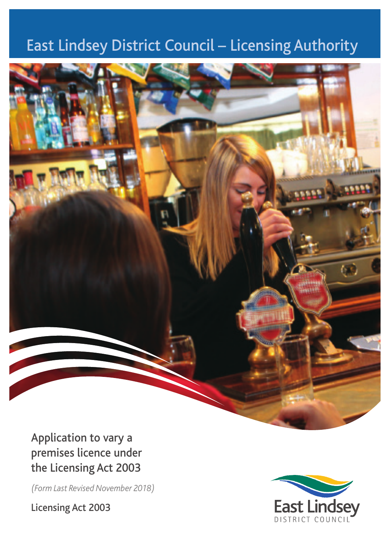# East Lindsey District Council – Licensing Authority



Application to vary a premises licence under the Licensing Act 2003

*(Form Last Revised November 2018)*

Licensing Act 2003

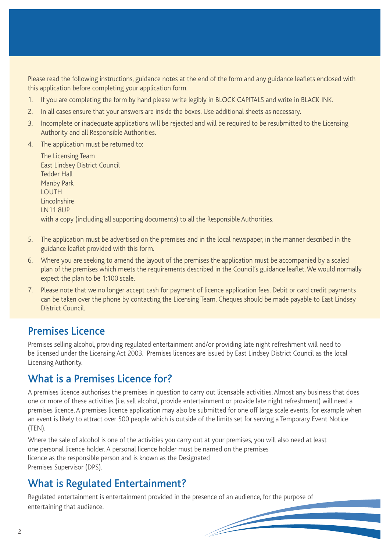Please read the following instructions, guidance notes at the end of the form and any guidance leaflets enclosed with this application before completing your application form.

- 1. If you are completing the form by hand please write legibly in BLOCK CAPITALS and write in BLACK INK.
- 2. In all cases ensure that your answers are inside the boxes. Use additional sheets as necessary.
- 3. Incomplete or inadequate applications will be rejected and will be required to be resubmitted to the Licensing Authority and all Responsible Authorities.
- 4. The application must be returned to:

The Licensing Team East Lindsey District Council Tedder Hall Manby Park LOUTH **Lincolnshire** LN11 8UP with a copy (including all supporting documents) to all the Responsible Authorities.

- 5. The application must be advertised on the premises and in the local newspaper, in the manner described in the guidance leaflet provided with this form.
- 6. Where you are seeking to amend the layout of the premises the application must be accompanied by a scaled plan of the premises which meets the requirements described in the Council's guidance leaflet. We would normally expect the plan to be 1:100 scale.
- 7. Please note that we no longer accept cash for payment of licence application fees. Debit or card credit payments can be taken over the phone by contacting the Licensing Team. Cheques should be made payable to East Lindsey District Council.

### Premises Licence

Premises selling alcohol, providing regulated entertainment and/or providing late night refreshment will need to be licensed under the Licensing Act 2003. Premises licences are issued by East Lindsey District Council as the local Licensing Authority.

## What is a Premises Licence for?

A premises licence authorises the premises in question to carry out licensable activities. Almost any business that does one or more of these activities (i.e. sell alcohol, provide entertainment or provide late night refreshment) will need a premises licence. A premises licence application may also be submitted for one off large scale events, for example when an event is likely to attract over 500 people which is outside of the limits set for serving a Temporary Event Notice (TEN).

Where the sale of alcohol is one of the activities you carry out at your premises, you will also need at least one personal licence holder. A personal licence holder must be named on the premises licence as the responsible person and is known as the Designated Premises Supervisor (DPS).

## What is Regulated Entertainment?

Regulated entertainment is entertainment provided in the presence of an audience, for the purpose of entertaining that audience.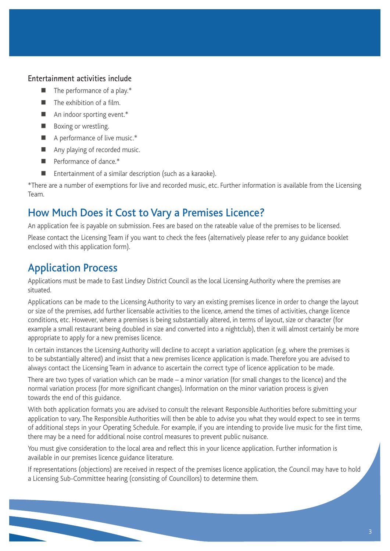### **Entertainment activities include**

- $\blacksquare$  The performance of a play.\*
- **The exhibition of a film.**
- An indoor sporting event.\*
- **Boxing or wrestling.**
- A performance of live music.\*
- Any playing of recorded music.
- Performance of dance.\*
- Entertainment of a similar description (such as a karaoke).

\*There are a number of exemptions for live and recorded music, etc. Further information is available from the Licensing Team.

### How Much Does it Cost to Vary a Premises Licence?

An application fee is payable on submission. Fees are based on the rateable value of the premises to be licensed.

Please contact the Licensing Team if you want to check the fees (alternatively please refer to any guidance booklet enclosed with this application form).

### Application Process

Applications must be made to East Lindsey District Council as the local Licensing Authority where the premises are situated.

Applications can be made to the Licensing Authority to vary an existing premises licence in order to change the layout or size of the premises, add further licensable activities to the licence, amend the times of activities, change licence conditions, etc. However, where a premises is being substantially altered, in terms of layout, size or character (for example a small restaurant being doubled in size and converted into a nightclub), then it will almost certainly be more appropriate to apply for a new premises licence.

In certain instances the Licensing Authority will decline to accept a variation application (e.g. where the premises is to be substantially altered) and insist that a new premises licence application is made. Therefore you are advised to always contact the Licensing Team in advance to ascertain the correct type of licence application to be made.

There are two types of variation which can be made – a minor variation (for small changes to the licence) and the normal variation process (for more significant changes). Information on the minor variation process is given towards the end of this guidance.

With both application formats you are advised to consult the relevant Responsible Authorities before submitting your application to vary. The Responsible Authorities will then be able to advise you what they would expect to see in terms of additional steps in your Operating Schedule. For example, if you are intending to provide live music for the first time, there may be a need for additional noise control measures to prevent public nuisance.

You must give consideration to the local area and reflect this in your licence application. Further information is available in our premises licence guidance literature.

If representations (objections) are received in respect of the premises licence application, the Council may have to hold a Licensing Sub-Committee hearing (consisting of Councillors) to determine them.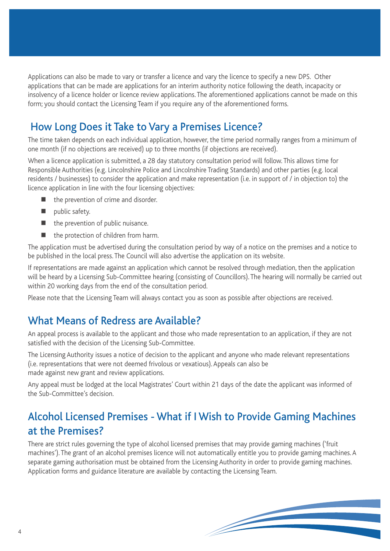Applications can also be made to vary or transfer a licence and vary the licence to specify a new DPS. Other applications that can be made are applications for an interim authority notice following the death, incapacity or insolvency of a licence holder or licence review applications. The aforementioned applications cannot be made on this form; you should contact the Licensing Team if you require any of the aforementioned forms.

# How Long Does it Take to Vary a Premises Licence?

The time taken depends on each individual application, however, the time period normally ranges from a minimum of one month (if no objections are received) up to three months (if objections are received).

When a licence application is submitted, a 28 day statutory consultation period will follow. This allows time for Responsible Authorities (e.g. Lincolnshire Police and Lincolnshire Trading Standards) and other parties (e.g. local residents / businesses) to consider the application and make representation (i.e. in support of / in objection to) the licence application in line with the four licensing objectives:

- the prevention of crime and disorder.
- $\blacksquare$  public safety.
- $\blacksquare$  the prevention of public nuisance.
- the protection of children from harm.

The application must be advertised during the consultation period by way of a notice on the premises and a notice to be published in the local press. The Council will also advertise the application on its website.

If representations are made against an application which cannot be resolved through mediation, then the application will be heard by a Licensing Sub-Committee hearing (consisting of Councillors). The hearing will normally be carried out within 20 working days from the end of the consultation period.

Please note that the Licensing Team will always contact you as soon as possible after objections are received.

## What Means of Redress are Available?

An appeal process is available to the applicant and those who made representation to an application, if they are not satisfied with the decision of the Licensing Sub-Committee.

The Licensing Authority issues a notice of decision to the applicant and anyone who made relevant representations (i.e. representations that were not deemed frivolous or vexatious). Appeals can also be made against new grant and review applications.

Any appeal must be lodged at the local Magistrates' Court within 21 days of the date the applicant was informed of the Sub-Committee's decision.

# Alcohol Licensed Premises - What if I Wish to Provide Gaming Machines at the Premises?

There are strict rules governing the type of alcohol licensed premises that may provide gaming machines ('fruit machines'). The grant of an alcohol premises licence will not automatically entitle you to provide gaming machines. A separate gaming authorisation must be obtained from the Licensing Authority in order to provide gaming machines. Application forms and guidance literature are available by contacting the Licensing Team.

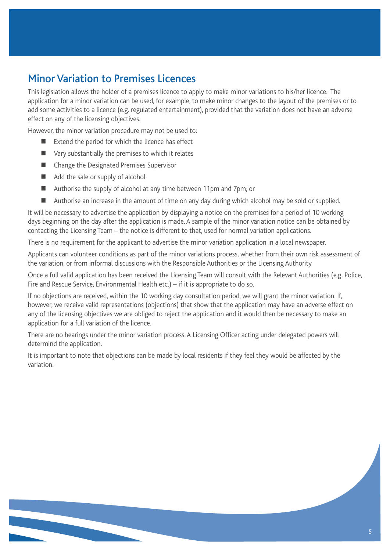# Minor Variation to Premises Licences

This legislation allows the holder of a premises licence to apply to make minor variations to his/her licence. The application for a minor variation can be used, for example, to make minor changes to the layout of the premises or to add some activities to a licence (e.g. regulated entertainment), provided that the variation does not have an adverse effect on any of the licensing objectives.

However, the minor variation procedure may not be used to:

- Extend the period for which the licence has effect
- Vary substantially the premises to which it relates
- Change the Designated Premises Supervisor
- Add the sale or supply of alcohol
- Authorise the supply of alcohol at any time between 11pm and 7pm; or
- Authorise an increase in the amount of time on any day during which alcohol may be sold or supplied.

It will be necessary to advertise the application by displaying a notice on the premises for a period of 10 working days beginning on the day after the application is made. A sample of the minor variation notice can be obtained by contacting the Licensing Team – the notice is different to that, used for normal variation applications.

There is no requirement for the applicant to advertise the minor variation application in a local newspaper.

Applicants can volunteer conditions as part of the minor variations process, whether from their own risk assessment of the variation, or from informal discussions with the Responsible Authorities or the Licensing Authority

Once a full valid application has been received the Licensing Team will consult with the Relevant Authorities (e.g. Police, Fire and Rescue Service, Environmental Health etc.) – if it is appropriate to do so.

If no objections are received, within the 10 working day consultation period, we will grant the minor variation. If, however, we receive valid representations (objections) that show that the application may have an adverse effect on any of the licensing objectives we are obliged to reject the application and it would then be necessary to make an application for a full variation of the licence.

There are no hearings under the minor variation process. A Licensing Officer acting under delegated powers will determind the application.

It is important to note that objections can be made by local residents if they feel they would be affected by the variation.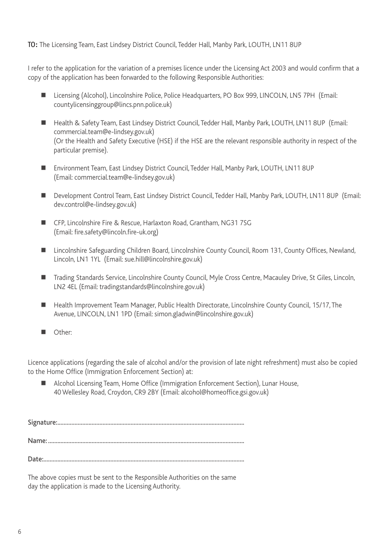### **TO:** The Licensing Team, East Lindsey District Council, Tedder Hall, Manby Park, LOUTH, LN11 8UP

I refer to the application for the variation of a premises licence under the Licensing Act 2003 and would confirm that a copy of the application has been forwarded to the following Responsible Authorities:

- Licensing (Alcohol), Lincolnshire Police, Police Headquarters, PO Box 999, LINCOLN, LN5 7PH (Email: countylicensinggroup@lincs.pnn.police.uk)
- Health & Safety Team, East Lindsey District Council, Tedder Hall, Manby Park, LOUTH, LN11 8UP (Email: commercial.team@e-lindsey.gov.uk) (Or the Health and Safety Executive (HSE) if the HSE are the relevant responsible authority in respect of the particular premise).
- Environment Team, East Lindsey District Council, Tedder Hall, Manby Park, LOUTH, LN11 8UP (Email: commercial.team@e-lindsey.gov.uk)
- Development Control Team, East Lindsey District Council, Tedder Hall, Manby Park, LOUTH, LN11 8UP (Email: dev.control@e-lindsey.gov.uk)
- CFP, Lincolnshire Fire & Rescue, Harlaxton Road, Grantham, NG31 7SG (Email: fire.safety@lincoln.fire-uk.org)
- Lincolnshire Safeguarding Children Board, Lincolnshire County Council, Room 131, County Offices, Newland, Lincoln, LN1 1YL (Email: sue.hill@lincolnshire.gov.uk)
- Trading Standards Service, Lincolnshire County Council, Myle Cross Centre, Macauley Drive, St Giles, Lincoln, LN2 4EL (Email: tradingstandards@lincolnshire.gov.uk)
- Health Improvement Team Manager, Public Health Directorate, Lincolnshire County Council, 15/17, The Avenue, LINCOLN, LN1 1PD (Email: simon.gladwin@lincolnshire.gov.uk)
- Other:

Licence applications (regarding the sale of alcohol and/or the provision of late night refreshment) must also be copied to the Home Office (Immigration Enforcement Section) at:

 Alcohol Licensing Team, Home Office (Immigration Enforcement Section), Lunar House, 40 Wellesley Road, Croydon, CR9 2BY (Email: alcohol@homeoffice.gsi.gov.uk)

Signature:........................................................................................................................

Name: ..............................................................................................................................

Date:.................................................................................................................................

The above copies must be sent to the Responsible Authorities on the same day the application is made to the Licensing Authority.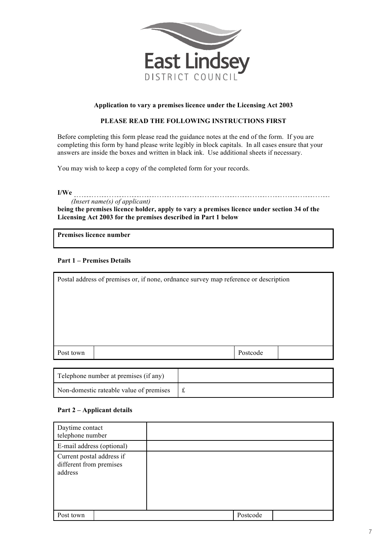

#### **Application to vary a premises licence under the Licensing Act 2003**

#### **PLEASE READ THE FOLLOWING INSTRUCTIONS FIRST**

Before completing this form please read the guidance notes at the end of the form. If you are completing this form by hand please write legibly in block capitals. In all cases ensure that your answers are inside the boxes and written in black ink. Use additional sheets if necessary.

You may wish to keep a copy of the completed form for your records.

**I/We**

### *(Insert name(s) of applicant)*

**being the premises licence holder, apply to vary a premises licence under section 34 of the Licensing Act 2003 for the premises described in Part 1 below**

**Premises licence number**

#### **Part 1 – Premises Details**

| Postal address of premises or, if none, ordnance survey map reference or description |  |  |          |  |  |
|--------------------------------------------------------------------------------------|--|--|----------|--|--|
|                                                                                      |  |  |          |  |  |
|                                                                                      |  |  |          |  |  |
|                                                                                      |  |  |          |  |  |
|                                                                                      |  |  |          |  |  |
|                                                                                      |  |  |          |  |  |
| Post town                                                                            |  |  | Postcode |  |  |
|                                                                                      |  |  |          |  |  |

| Telephone number at premises (if any)   |  |
|-----------------------------------------|--|
| Non-domestic rateable value of premises |  |

#### **Part 2 – Applicant details**

| Daytime contact<br>telephone number                             |          |
|-----------------------------------------------------------------|----------|
| E-mail address (optional)                                       |          |
| Current postal address if<br>different from premises<br>address |          |
| Post town                                                       | Postcode |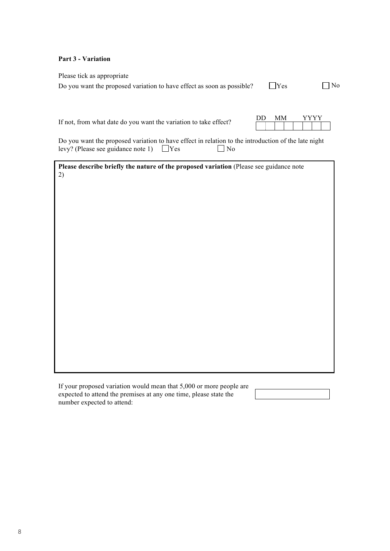#### **Part 3 - Variation**

Please tick as appropriate

Do you want the proposed variation to have effect as soon as possible?  $\Box$  Yes  $\Box$  No

|  | × |
|--|---|
|  |   |

If not, from what date do you want the variation to take effect?

| DD | MМ | <b>VVV</b> |  |
|----|----|------------|--|
|    |    |            |  |

Do you want the proposed variation to have effect in relation to the introduction of the late night levy? (Please see guidance note 1)  $\Box$  Yes  $\Box$  No

**Please describe briefly the nature of the proposed variation** (Please see guidance note 2)

If your proposed variation would mean that 5,000 or more people are expected to attend the premises at any one time, please state the number expected to attend: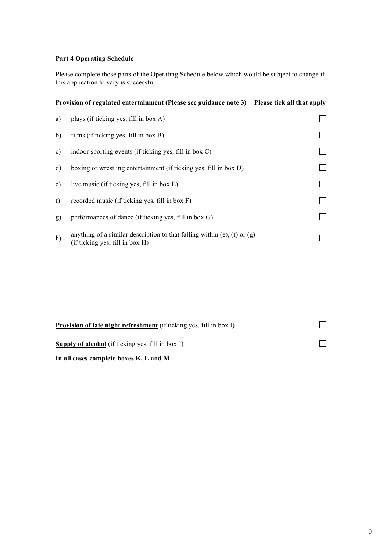### **Part 4 Operating Schedule**

Please complete those parts of the Operating Schedule below which would be subject to change if this application to vary is successful.

|    | Provision of regulated entertainment (Please see guidance note 3) Please tick all that apply                  |  |
|----|---------------------------------------------------------------------------------------------------------------|--|
| a) | plays (if ticking yes, fill in box A)                                                                         |  |
| b) | films (if ticking yes, fill in box B)                                                                         |  |
| c) | indoor sporting events (if ticking yes, fill in box C)                                                        |  |
| d) | boxing or wrestling entertainment (if ticking yes, fill in box D)                                             |  |
| e) | live music (if ticking yes, fill in box E)                                                                    |  |
| f) | recorded music (if ticking yes, fill in box F)                                                                |  |
| g) | performances of dance (if ticking yes, fill in box G)                                                         |  |
| h) | anything of a similar description to that falling within (e), (f) or $(g)$<br>(if ticking yes, fill in box H) |  |

| <b>Provision of late night refreshment</b> (if ticking yes, fill in box I) |  |  |  |
|----------------------------------------------------------------------------|--|--|--|
| <b>Supply of alcohol</b> (if ticking yes, fill in box $J$ )                |  |  |  |
| In all cases complete boxes K, L and M                                     |  |  |  |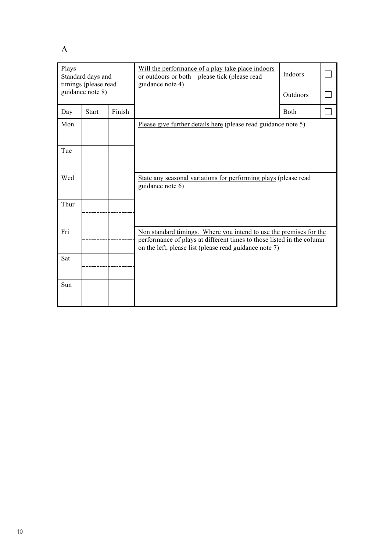A

| Plays<br>Standard days and<br>timings (please read |                  |        | Will the performance of a play take place indoors<br>or outdoors or both – please tick (please read<br>guidance note 4)                                                                               | Indoors     |  |
|----------------------------------------------------|------------------|--------|-------------------------------------------------------------------------------------------------------------------------------------------------------------------------------------------------------|-------------|--|
|                                                    | guidance note 8) |        |                                                                                                                                                                                                       | Outdoors    |  |
| Day                                                | <b>Start</b>     | Finish |                                                                                                                                                                                                       | <b>Both</b> |  |
| Mon                                                |                  |        | Please give further details here (please read guidance note 5)                                                                                                                                        |             |  |
| Tue                                                |                  |        |                                                                                                                                                                                                       |             |  |
| Wed                                                |                  |        | State any seasonal variations for performing plays (please read<br>guidance note 6)                                                                                                                   |             |  |
| Thur                                               |                  |        |                                                                                                                                                                                                       |             |  |
| Fri                                                |                  |        | Non standard timings. Where you intend to use the premises for the<br>performance of plays at different times to those listed in the column<br>on the left, please list (please read guidance note 7) |             |  |
| Sat                                                |                  |        |                                                                                                                                                                                                       |             |  |
| Sun                                                |                  |        |                                                                                                                                                                                                       |             |  |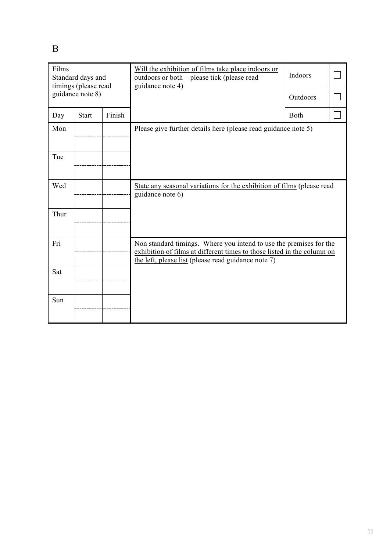B

| Films<br>Standard days and<br>timings (please read<br>guidance note 8) |              |        | Will the exhibition of films take place indoors or<br>outdoors or both – please tick (please read<br>guidance note 4)                                                                                | Indoors<br>Outdoors |  |
|------------------------------------------------------------------------|--------------|--------|------------------------------------------------------------------------------------------------------------------------------------------------------------------------------------------------------|---------------------|--|
| Day                                                                    | <b>Start</b> | Finish |                                                                                                                                                                                                      | Both                |  |
| Mon                                                                    |              |        | Please give further details here (please read guidance note 5)                                                                                                                                       |                     |  |
| Tue                                                                    |              |        |                                                                                                                                                                                                      |                     |  |
|                                                                        |              |        |                                                                                                                                                                                                      |                     |  |
| Wed                                                                    |              |        | State any seasonal variations for the exhibition of films (please read<br>guidance note 6)                                                                                                           |                     |  |
| Thur                                                                   |              |        |                                                                                                                                                                                                      |                     |  |
| Fri                                                                    |              |        | Non standard timings. Where you intend to use the premises for the<br>exhibition of films at different times to those listed in the column on<br>the left, please list (please read guidance note 7) |                     |  |
| Sat                                                                    |              |        |                                                                                                                                                                                                      |                     |  |
| Sun                                                                    |              |        |                                                                                                                                                                                                      |                     |  |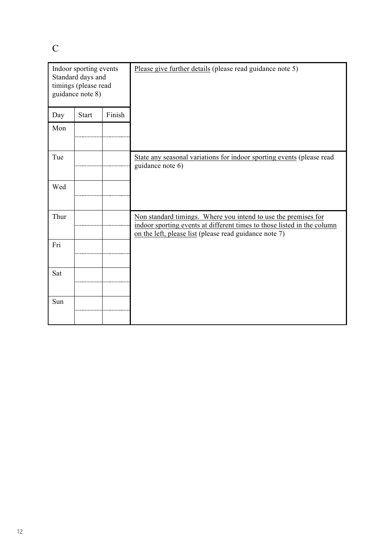C

| Indoor sporting events<br>Standard days and<br>timings (please read<br>guidance note 8) |              |        | Please give further details (please read guidance note 5)                                                                                                                                           |
|-----------------------------------------------------------------------------------------|--------------|--------|-----------------------------------------------------------------------------------------------------------------------------------------------------------------------------------------------------|
| Day                                                                                     | <b>Start</b> | Finish |                                                                                                                                                                                                     |
| Mon                                                                                     |              |        |                                                                                                                                                                                                     |
| Tue                                                                                     |              |        | State any seasonal variations for indoor sporting events (please read<br>guidance note 6)                                                                                                           |
| Wed                                                                                     |              |        |                                                                                                                                                                                                     |
| Thur                                                                                    |              |        | Non standard timings. Where you intend to use the premises for<br>indoor sporting events at different times to those listed in the column<br>on the left, please list (please read guidance note 7) |
| Fri                                                                                     |              |        |                                                                                                                                                                                                     |
| Sat                                                                                     |              |        |                                                                                                                                                                                                     |
| Sun                                                                                     |              |        |                                                                                                                                                                                                     |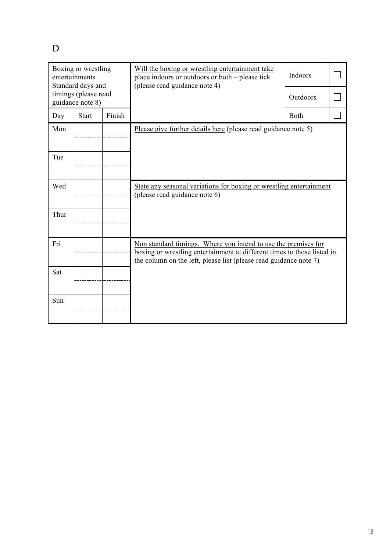D

| Boxing or wrestling<br>entertainments<br>Standard days and<br>timings (please read<br>guidance note 8) |              |        | Will the boxing or wrestling entertainment take<br>place indoors or outdoors or both – please tick<br>(please read guidance note 4)                                                                            | Indoors<br>Outdoors |  |
|--------------------------------------------------------------------------------------------------------|--------------|--------|----------------------------------------------------------------------------------------------------------------------------------------------------------------------------------------------------------------|---------------------|--|
| Day                                                                                                    | <b>Start</b> | Finish |                                                                                                                                                                                                                | Both                |  |
| Mon                                                                                                    |              |        | Please give further details here (please read guidance note 5)                                                                                                                                                 |                     |  |
| Tue                                                                                                    |              |        |                                                                                                                                                                                                                |                     |  |
| Wed                                                                                                    |              |        | State any seasonal variations for boxing or wrestling entertainment<br>(please read guidance note 6)                                                                                                           |                     |  |
| Thur                                                                                                   |              |        |                                                                                                                                                                                                                |                     |  |
| Fri                                                                                                    |              |        | Non standard timings. Where you intend to use the premises for<br>boxing or wrestling entertainment at different times to those listed in<br>the column on the left, please list (please read guidance note 7) |                     |  |
| Sat                                                                                                    |              |        |                                                                                                                                                                                                                |                     |  |
| Sun                                                                                                    |              |        |                                                                                                                                                                                                                |                     |  |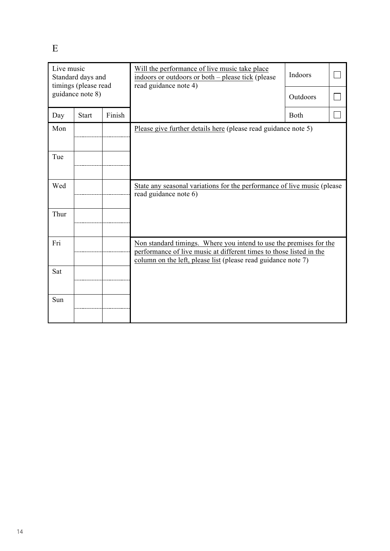E

| Live music<br>Standard days and<br>timings (please read<br>guidance note 8) |              |        | Will the performance of live music take place<br>indoors or outdoors or both – please tick (please<br>read guidance note 4)                                                                                | Indoors<br>Outdoors |  |
|-----------------------------------------------------------------------------|--------------|--------|------------------------------------------------------------------------------------------------------------------------------------------------------------------------------------------------------------|---------------------|--|
| Day                                                                         | <b>Start</b> | Finish |                                                                                                                                                                                                            | Both                |  |
| Mon                                                                         |              |        | Please give further details here (please read guidance note 5)                                                                                                                                             |                     |  |
| Tue                                                                         |              |        |                                                                                                                                                                                                            |                     |  |
| Wed                                                                         |              |        | State any seasonal variations for the performance of live music (please<br>read guidance note 6)                                                                                                           |                     |  |
| Thur                                                                        |              |        |                                                                                                                                                                                                            |                     |  |
| Fri                                                                         |              |        | Non standard timings. Where you intend to use the premises for the<br>performance of live music at different times to those listed in the<br>column on the left, please list (please read guidance note 7) |                     |  |
| Sat                                                                         |              |        |                                                                                                                                                                                                            |                     |  |
| Sun                                                                         |              |        |                                                                                                                                                                                                            |                     |  |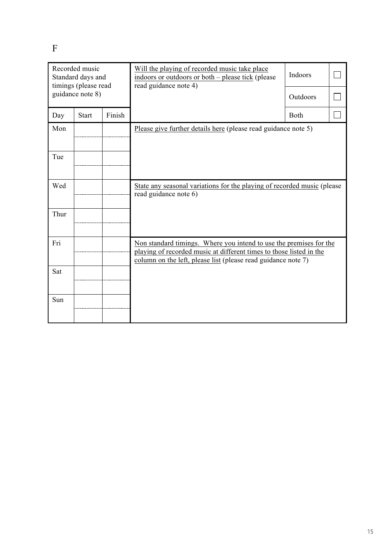F

| Recorded music<br>Standard days and<br>timings (please read<br>guidance note 8) |              |        | Will the playing of recorded music take place<br>indoors or outdoors or both – please tick (please<br>read guidance note 4)                                                                                | Indoors<br>Outdoors |  |
|---------------------------------------------------------------------------------|--------------|--------|------------------------------------------------------------------------------------------------------------------------------------------------------------------------------------------------------------|---------------------|--|
| Day                                                                             | <b>Start</b> | Finish |                                                                                                                                                                                                            | Both                |  |
| Mon                                                                             |              |        | Please give further details here (please read guidance note 5)                                                                                                                                             |                     |  |
| Tue                                                                             |              |        |                                                                                                                                                                                                            |                     |  |
| Wed                                                                             |              |        | State any seasonal variations for the playing of recorded music (please<br>read guidance note 6)                                                                                                           |                     |  |
| Thur                                                                            |              |        |                                                                                                                                                                                                            |                     |  |
| Fri                                                                             |              |        | Non standard timings. Where you intend to use the premises for the<br>playing of recorded music at different times to those listed in the<br>column on the left, please list (please read guidance note 7) |                     |  |
| Sat                                                                             |              |        |                                                                                                                                                                                                            |                     |  |
| Sun                                                                             |              |        |                                                                                                                                                                                                            |                     |  |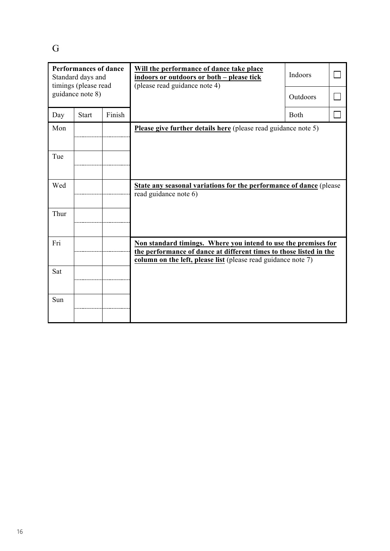G

| <b>Performances of dance</b><br>Standard days and<br>timings (please read<br>guidance note 8) |              |        | Will the performance of dance take place<br>indoors or outdoors or both – please tick<br>(please read guidance note 4)                                                                                | Indoors<br>Outdoors |  |  |
|-----------------------------------------------------------------------------------------------|--------------|--------|-------------------------------------------------------------------------------------------------------------------------------------------------------------------------------------------------------|---------------------|--|--|
| Day                                                                                           | <b>Start</b> | Finish |                                                                                                                                                                                                       | <b>Both</b>         |  |  |
| Mon                                                                                           |              |        | Please give further details here (please read guidance note 5)                                                                                                                                        |                     |  |  |
| Tue                                                                                           |              |        |                                                                                                                                                                                                       |                     |  |  |
| Wed                                                                                           |              |        | <b>State any seasonal variations for the performance of dance (please)</b><br>read guidance note 6)                                                                                                   |                     |  |  |
| Thur                                                                                          |              |        |                                                                                                                                                                                                       |                     |  |  |
| Fri                                                                                           |              |        | Non standard timings. Where you intend to use the premises for<br>the performance of dance at different times to those listed in the<br>column on the left, please list (please read guidance note 7) |                     |  |  |
| Sat                                                                                           |              |        |                                                                                                                                                                                                       |                     |  |  |
| Sun                                                                                           |              |        |                                                                                                                                                                                                       |                     |  |  |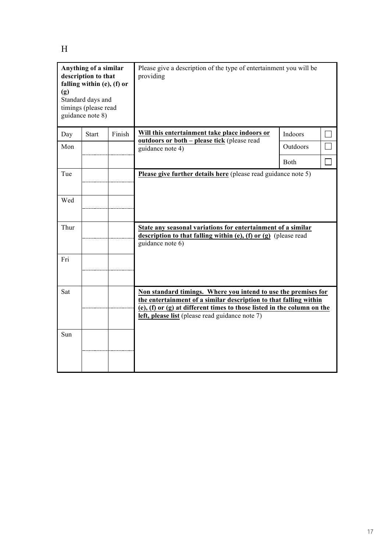H

| Anything of a similar<br>description to that<br>falling within (e), (f) or<br>(g)<br>Standard days and<br>timings (please read<br>guidance note 8) |              |        | Please give a description of the type of entertainment you will be<br>providing                                                                                                                                                                                   |          |  |  |
|----------------------------------------------------------------------------------------------------------------------------------------------------|--------------|--------|-------------------------------------------------------------------------------------------------------------------------------------------------------------------------------------------------------------------------------------------------------------------|----------|--|--|
| Day                                                                                                                                                | <b>Start</b> | Finish | Will this entertainment take place indoors or                                                                                                                                                                                                                     | Indoors  |  |  |
| Mon                                                                                                                                                |              |        | outdoors or both - please tick (please read<br>guidance note 4)                                                                                                                                                                                                   | Outdoors |  |  |
|                                                                                                                                                    |              |        |                                                                                                                                                                                                                                                                   | Both     |  |  |
| Tue                                                                                                                                                |              |        | Please give further details here (please read guidance note 5)                                                                                                                                                                                                    |          |  |  |
| Wed                                                                                                                                                |              |        |                                                                                                                                                                                                                                                                   |          |  |  |
| Thur                                                                                                                                               |              |        | State any seasonal variations for entertainment of a similar<br>description to that falling within $(e)$ , $(f)$ or $(g)$ (please read<br>guidance note 6)                                                                                                        |          |  |  |
| Fri                                                                                                                                                |              |        |                                                                                                                                                                                                                                                                   |          |  |  |
| Sat                                                                                                                                                |              |        | Non standard timings. Where you intend to use the premises for<br>the entertainment of a similar description to that falling within<br>(e), (f) or (g) at different times to those listed in the column on the<br>left, please list (please read guidance note 7) |          |  |  |
| Sun                                                                                                                                                |              |        |                                                                                                                                                                                                                                                                   |          |  |  |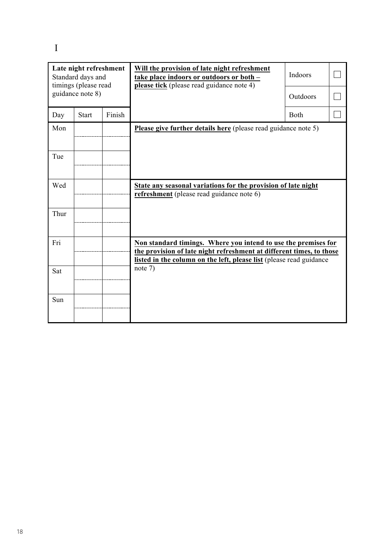I

| Late night refreshment<br>Standard days and<br>timings (please read<br>guidance note 8) |              |        | Will the provision of late night refreshment<br>take place indoors or outdoors or both -<br>please tick (please read guidance note 4)                                                                         | Indoors<br>Outdoors |  |  |  |
|-----------------------------------------------------------------------------------------|--------------|--------|---------------------------------------------------------------------------------------------------------------------------------------------------------------------------------------------------------------|---------------------|--|--|--|
| Day                                                                                     | <b>Start</b> | Finish |                                                                                                                                                                                                               | Both                |  |  |  |
| Mon                                                                                     |              |        | Please give further details here (please read guidance note 5)                                                                                                                                                |                     |  |  |  |
| Tue                                                                                     |              |        |                                                                                                                                                                                                               |                     |  |  |  |
| Wed                                                                                     |              |        | State any seasonal variations for the provision of late night<br>refreshment (please read guidance note 6)                                                                                                    |                     |  |  |  |
| Thur                                                                                    |              |        |                                                                                                                                                                                                               |                     |  |  |  |
| Fri                                                                                     |              |        | Non standard timings. Where you intend to use the premises for<br>the provision of late night refreshment at different times, to those<br>listed in the column on the left, please list (please read guidance |                     |  |  |  |
| Sat                                                                                     |              |        | note $7)$                                                                                                                                                                                                     |                     |  |  |  |
| Sun                                                                                     |              |        |                                                                                                                                                                                                               |                     |  |  |  |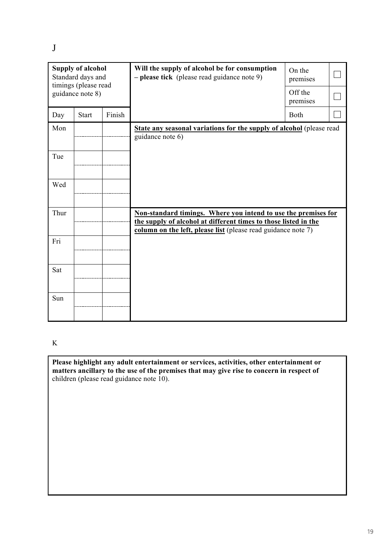J

| <b>Supply of alcohol</b><br>Standard days and<br>timings (please read<br>guidance note 8) |              |        | Will the supply of alcohol be for consumption<br>- please tick (please read guidance note 9)                                                                                                       | On the<br>premises<br>Off the<br>premises |  |
|-------------------------------------------------------------------------------------------|--------------|--------|----------------------------------------------------------------------------------------------------------------------------------------------------------------------------------------------------|-------------------------------------------|--|
| Day                                                                                       | <b>Start</b> | Finish |                                                                                                                                                                                                    | Both                                      |  |
| Mon                                                                                       |              |        | State any seasonal variations for the supply of alcohol (please read<br>guidance note 6)                                                                                                           |                                           |  |
| Tue                                                                                       |              |        |                                                                                                                                                                                                    |                                           |  |
| Wed                                                                                       |              |        |                                                                                                                                                                                                    |                                           |  |
| Thur                                                                                      |              |        | Non-standard timings. Where you intend to use the premises for<br>the supply of alcohol at different times to those listed in the<br>column on the left, please list (please read guidance note 7) |                                           |  |
| Fri                                                                                       |              |        |                                                                                                                                                                                                    |                                           |  |
| Sat                                                                                       |              |        |                                                                                                                                                                                                    |                                           |  |
| Sun                                                                                       |              |        |                                                                                                                                                                                                    |                                           |  |

K

**Please highlight any adult entertainment or services, activities, other entertainment or matters ancillary to the use of the premises that may give rise to concern in respect of** children (please read guidance note 10).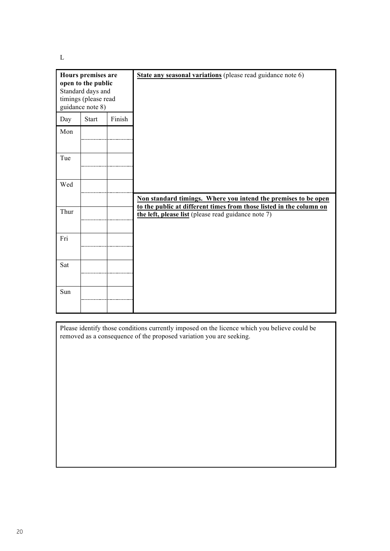L

| Hours premises are<br>open to the public<br>Standard days and<br>timings (please read<br>guidance note 8) |       |        | State any seasonal variations (please read guidance note 6)                                                                |
|-----------------------------------------------------------------------------------------------------------|-------|--------|----------------------------------------------------------------------------------------------------------------------------|
| Day                                                                                                       | Start | Finish |                                                                                                                            |
| Mon                                                                                                       |       |        |                                                                                                                            |
| Tue                                                                                                       |       |        |                                                                                                                            |
| Wed                                                                                                       |       |        |                                                                                                                            |
|                                                                                                           |       |        | Non standard timings. Where you intend the premises to be open                                                             |
| Thur                                                                                                      |       |        | to the public at different times from those listed in the column on<br>the left, please list (please read guidance note 7) |
| Fri                                                                                                       |       |        |                                                                                                                            |
| Sat                                                                                                       |       |        |                                                                                                                            |
| Sun                                                                                                       |       |        |                                                                                                                            |

Please identify those conditions currently imposed on the licence which you believe could be removed as a consequence of the proposed variation you are seeking.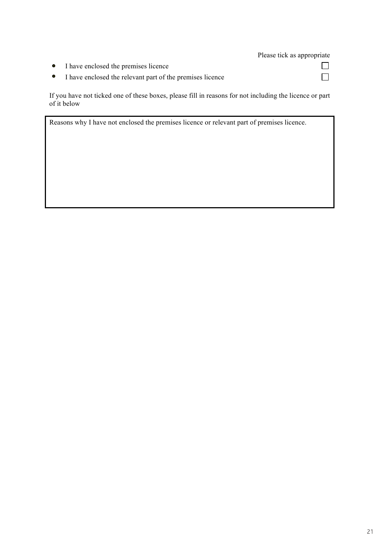#### Please tick as appropriate

 $\Box$ 

 $\Box$ 

- I have enclosed the premises licence  $\bullet$
- $\bullet$ I have enclosed the relevant part of the premises licence

If you have not ticked one of these boxes, please fill in reasons for not including the licence or part of it below

Reasons why I have not enclosed the premises licence or relevant part of premises licence.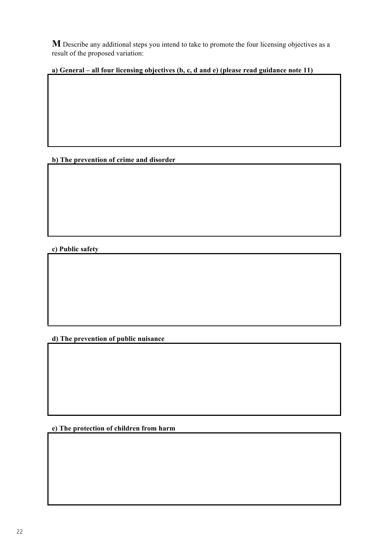**M** Describe any additional steps you intend to take to promote the four licensing objectives as a result of the proposed variation:

**a) General – all four licensing objectives (b, c, d and e) (please read guidance note 11)** 

**b) The prevention of crime and disorder**

**c) Public safety**

**d) The prevention of public nuisance**

**e) The protection of children from harm**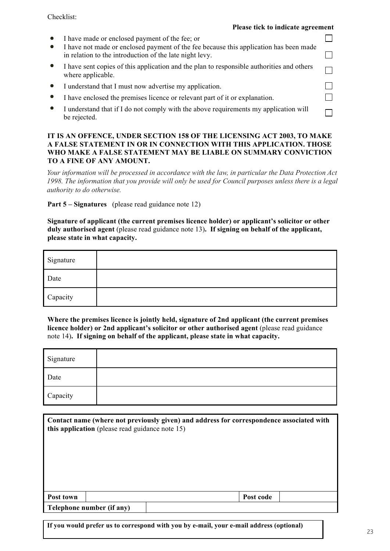#### Checklist:

#### **Please tick to indicate agreement**

 $\Box$ 

 $\Box$ 

 $\Box$ 

 $\Box$ 

| $\bullet$ | I have made or enclosed payment of the fee; or |  |  |  |  |
|-----------|------------------------------------------------|--|--|--|--|
|-----------|------------------------------------------------|--|--|--|--|

- I have not made or enclosed payment of the fee because this application has been made **Please tick to indicate agreement** in relation to the introduction of the late night levy.
- I have sent copies of this application and the plan to responsible authorities and others  $\bullet$ I where applicable.
- I understand that I must now advertise my application.  $\bullet$
- I have enclosed the premises licence or relevant part of it or evolenction I have enclosed the premises licence or relevant part of it or explanation.
- $\bullet$ I understand that if I do not comply with the above requirements my application will<br>he rejected be rejected.

#### IT IS AN OFFENCE, UNDER SECTION 158 OF THE LICENSING ACT 2003, TO MAKE A FALSE STATEMENT IN OR IN CONNECTION WITH THIS APPLICATION. THOSE **TO A FINE OF ANY AMOUNT. WHO MAKE A FALSE STATEMENT MAY BE LIABLE ON SUMMARY CONVICTION**

Your information will be processed in accordance with the law, in particular the Data Protection Act 1998. The information that you provide will only be used for Council purposes unless there is a legal authority to do otherwise. **Signature of applicant (the current premises licence holder) or applicant's solicitor or other**

**Part 5 – Signatures** (please read guidance note 12) **please state in what capacity.**

**Signature of applicant (the current premises licence holder) or applicant's solicitor or other duly authorised agent** (please read guidance note 13)**. If signing on behalf of the applicant, please** state in what capacity.

| Signature |  |
|-----------|--|
| Date      |  |
| Capacity  |  |
|           |  |

**Where the premises licence is jointly held, signature of 2nd applicant (the current premises licence holder) or 2nd applicant's solicitor or other authorised agent** (please read guidance note 14)**. If signing on behalf of the applicant, please state in what capacity.** Signature

| Signature |  |
|-----------|--|
| Date      |  |
| Capacity  |  |

|                           | this application (please read guidance note 15) |  | Contact name (where not previously given) and address for correspondence associated with |  |  |
|---------------------------|-------------------------------------------------|--|------------------------------------------------------------------------------------------|--|--|
| Post town                 |                                                 |  | Post code                                                                                |  |  |
| Telephone number (if any) |                                                 |  |                                                                                          |  |  |

**If you would prefer us to correspond with you by e-mail, your e-mail address (optional)**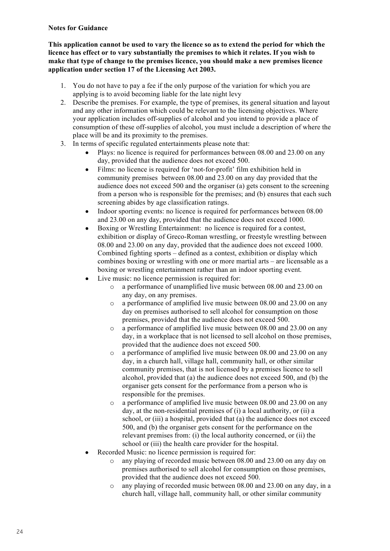#### **Notes for Guidance**

**This application cannot be used to vary the licence so as to extend the period for which the licence has effect or to vary substantially the premises to which it relates. If you wish to make that type of change to the premises licence, you should make a new premises licence application under section 17 of the Licensing Act 2003.**

- 1. You do not have to pay a fee if the only purpose of the variation for which you are applying is to avoid becoming liable for the late night levy
- 2. Describe the premises. For example, the type of premises, its general situation and layout and any other information which could be relevant to the licensing objectives. Where your application includes off-supplies of alcohol and you intend to provide a place of consumption of these off-supplies of alcohol, you must include a description of where the place will be and its proximity to the premises.
- 3. In terms of specific regulated entertainments please note that:
	- Plays: no licence is required for performances between 08.00 and 23.00 on any day, provided that the audience does not exceed 500.
	- Films: no licence is required for 'not-for-profit' film exhibition held in community premises between 08.00 and 23.00 on any day provided that the audience does not exceed 500 and the organiser (a) gets consent to the screening from a person who is responsible for the premises; and (b) ensures that each such screening abides by age classification ratings.
	- Indoor sporting events: no licence is required for performances between 08.00 and 23.00 on any day, provided that the audience does not exceed 1000.
	- Boxing or Wrestling Entertainment: no licence is required for a contest, exhibition or display of Greco-Roman wrestling, or freestyle wrestling between 08.00 and 23.00 on any day, provided that the audience does not exceed 1000. Combined fighting sports – defined as a contest, exhibition or display which combines boxing or wrestling with one or more martial arts – are licensable as a boxing or wrestling entertainment rather than an indoor sporting event.
	- Live music: no licence permission is required for:
		- o a performance of unamplified live music between 08.00 and 23.00 on any day, on any premises.
		- o a performance of amplified live music between 08.00 and 23.00 on any day on premises authorised to sell alcohol for consumption on those premises, provided that the audience does not exceed 500.
		- o a performance of amplified live music between 08.00 and 23.00 on any day, in a workplace that is not licensed to sell alcohol on those premises, provided that the audience does not exceed 500.
		- o a performance of amplified live music between 08.00 and 23.00 on any day, in a church hall, village hall, community hall, or other similar community premises, that is not licensed by a premises licence to sell alcohol, provided that (a) the audience does not exceed 500, and (b) the organiser gets consent for the performance from a person who is responsible for the premises.
		- o a performance of amplified live music between 08.00 and 23.00 on any day, at the non-residential premises of (i) a local authority, or (ii) a school, or (iii) a hospital, provided that (a) the audience does not exceed 500, and (b) the organiser gets consent for the performance on the relevant premises from: (i) the local authority concerned, or (ii) the school or (iii) the health care provider for the hospital.
	- Recorded Music: no licence permission is required for:
		- o any playing of recorded music between 08.00 and 23.00 on any day on premises authorised to sell alcohol for consumption on those premises, provided that the audience does not exceed 500.
		- o any playing of recorded music between 08.00 and 23.00 on any day, in a church hall, village hall, community hall, or other similar community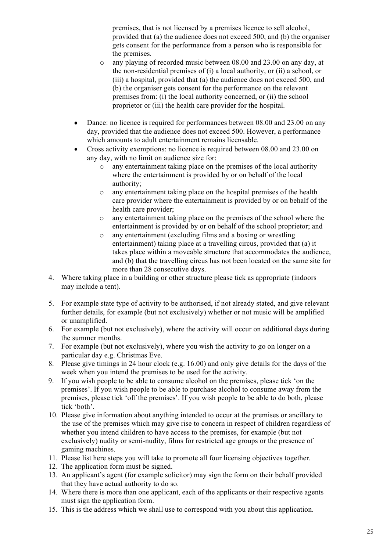premises, that is not licensed by a premises licence to sell alcohol, provided that (a) the audience does not exceed 500, and (b) the organiser gets consent for the performance from a person who is responsible for the premises.

- o any playing of recorded music between 08.00 and 23.00 on any day, at the non-residential premises of (i) a local authority, or (ii) a school, or (iii) a hospital, provided that (a) the audience does not exceed 500, and (b) the organiser gets consent for the performance on the relevant premises from: (i) the local authority concerned, or (ii) the school proprietor or (iii) the health care provider for the hospital.
- Dance: no licence is required for performances between 08.00 and 23.00 on any day, provided that the audience does not exceed 500. However, a performance which amounts to adult entertainment remains licensable.
- Cross activity exemptions: no licence is required between 08.00 and 23.00 on any day, with no limit on audience size for:
	- o any entertainment taking place on the premises of the local authority where the entertainment is provided by or on behalf of the local authority;
	- o any entertainment taking place on the hospital premises of the health care provider where the entertainment is provided by or on behalf of the health care provider;
	- o any entertainment taking place on the premises of the school where the entertainment is provided by or on behalf of the school proprietor; and
	- o any entertainment (excluding films and a boxing or wrestling entertainment) taking place at a travelling circus, provided that (a) it takes place within a moveable structure that accommodates the audience, and (b) that the travelling circus has not been located on the same site for more than 28 consecutive days.
- 4. Where taking place in a building or other structure please tick as appropriate (indoors may include a tent).
- 5. For example state type of activity to be authorised, if not already stated, and give relevant further details, for example (but not exclusively) whether or not music will be amplified or unamplified.
- 6. For example (but not exclusively), where the activity will occur on additional days during the summer months.
- 7. For example (but not exclusively), where you wish the activity to go on longer on a particular day e.g. Christmas Eve.
- 8. Please give timings in 24 hour clock (e.g. 16.00) and only give details for the days of the week when you intend the premises to be used for the activity.
- 9. If you wish people to be able to consume alcohol on the premises, please tick 'on the premises'. If you wish people to be able to purchase alcohol to consume away from the premises, please tick 'off the premises'. If you wish people to be able to do both, please tick 'both'.
- 10. Please give information about anything intended to occur at the premises or ancillary to the use of the premises which may give rise to concern in respect of children regardless of whether you intend children to have access to the premises, for example (but not exclusively) nudity or semi-nudity, films for restricted age groups or the presence of gaming machines.
- 11. Please list here steps you will take to promote all four licensing objectives together.
- 12. The application form must be signed.
- 13. An applicant's agent (for example solicitor) may sign the form on their behalf provided that they have actual authority to do so.
- 14. Where there is more than one applicant, each of the applicants or their respective agents must sign the application form.
- 15. This is the address which we shall use to correspond with you about this application.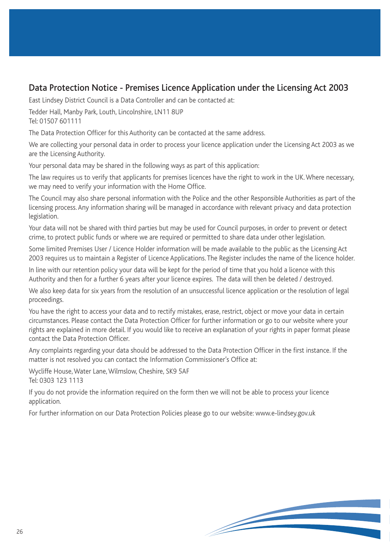### Data Protection Notice - Premises Licence Application under the Licensing Act 2003

East Lindsey District Council is a Data Controller and can be contacted at:

Tedder Hall, Manby Park, Louth, Lincolnshire, LN11 8UP Tel: 01507 601111

The Data Protection Officer for this Authority can be contacted at the same address.

We are collecting your personal data in order to process your licence application under the Licensing Act 2003 as we are the Licensing Authority.

Your personal data may be shared in the following ways as part of this application:

The law requires us to verify that applicants for premises licences have the right to work in the UK. Where necessary, we may need to verify your information with the Home Office.

The Council may also share personal information with the Police and the other Responsible Authorities as part of the licensing process. Any information sharing will be managed in accordance with relevant privacy and data protection legislation.

Your data will not be shared with third parties but may be used for Council purposes, in order to prevent or detect crime, to protect public funds or where we are required or permitted to share data under other legislation.

Some limited Premises User / Licence Holder information will be made available to the public as the Licensing Act 2003 requires us to maintain a Register of Licence Applications. The Register includes the name of the licence holder.

In line with our retention policy your data will be kept for the period of time that you hold a licence with this Authority and then for a further 6 years after your licence expires. The data will then be deleted / destroyed.

We also keep data for six years from the resolution of an unsuccessful licence application or the resolution of legal proceedings.

You have the right to access your data and to rectify mistakes, erase, restrict, object or move your data in certain circumstances. Please contact the Data Protection Officer for further information or go to our website where your rights are explained in more detail. If you would like to receive an explanation of your rights in paper format please contact the Data Protection Officer.

Any complaints regarding your data should be addressed to the Data Protection Officer in the first instance. If the matter is not resolved you can contact the Information Commissioner's Office at:

Wycliffe House, Water Lane, Wilmslow, Cheshire, SK9 5AF Tel: 0303 123 1113

If you do not provide the information required on the form then we will not be able to process your licence application.

For further information on our Data Protection Policies please go to our website: www.e-lindsey.gov.uk